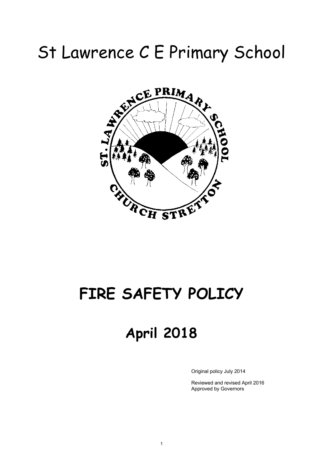# St Lawrence C E Primary School



## **FIRE SAFETY POLICY**

### **April 2018**

Original policy July 2014

Reviewed and revised April 2016 Approved by Governors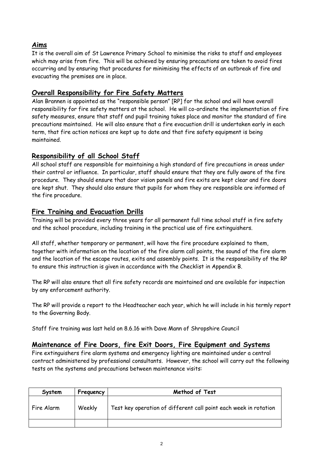#### **Aims**

It is the overall aim of St Lawrence Primary School to minimise the risks to staff and employees which may arise from fire. This will be achieved by ensuring precautions are taken to avoid fires occurring and by ensuring that procedures for minimising the effects of an outbreak of fire and evacuating the premises are in place.

#### **Overall Responsibility for Fire Safety Matters**

Alan Brannen is appointed as the "responsible person" [RP] for the school and will have overall responsibility for fire safety matters at the school. He will co-ordinate the implementation of fire safety measures, ensure that staff and pupil training takes place and monitor the standard of fire precautions maintained. He will also ensure that a fire evacuation drill is undertaken early in each term, that fire action notices are kept up to date and that fire safety equipment is being maintained.

#### **Responsibility of all School Staff**

All school staff are responsible for maintaining a high standard of fire precautions in areas under their control or influence. In particular, staff should ensure that they are fully aware of the fire procedure. They should ensure that door vision panels and fire exits are kept clear and fire doors are kept shut. They should also ensure that pupils for whom they are responsible are informed of the fire procedure.

#### **Fire Training and Evacuation Drills**

Training will be provided every three years for all permanent full time school staff in fire safety and the school procedure, including training in the practical use of fire extinguishers.

All staff, whether temporary or permanent, will have the fire procedure explained to them, together with information on the location of the fire alarm call points, the sound of the fire alarm and the location of the escape routes, exits and assembly points. It is the responsibility of the RP to ensure this instruction is given in accordance with the Checklist in Appendix B.

The RP will also ensure that all fire safety records are maintained and are available for inspection by any enforcement authority.

The RP will provide a report to the Headteacher each year, which he will include in his termly report to the Governing Body.

Staff fire training was last held on 8.6.16 with Dave Mann of Shropshire Council

#### **Maintenance of Fire Doors, fire Exit Doors, Fire Equipment and Systems**

Fire extinguishers fire alarm systems and emergency lighting are maintained under a central contract administered by professional consultants. However, the school will carry out the following tests on the systems and precautions between maintenance visits:

| System     | Frequency | Method of Test                                                   |
|------------|-----------|------------------------------------------------------------------|
| Fire Alarm | Weekly    | Test key operation of different call point each week in rotation |
|            |           |                                                                  |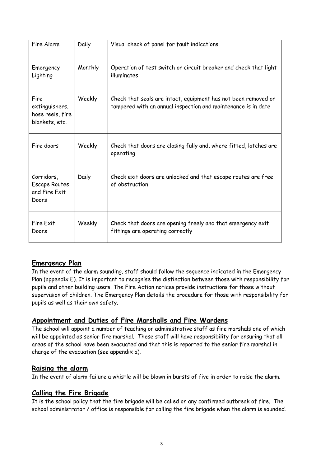| Fire Alarm                                                   | Daily   | Visual check of panel for fault indications                                                                                     |  |
|--------------------------------------------------------------|---------|---------------------------------------------------------------------------------------------------------------------------------|--|
| Emergency<br>Lighting                                        | Monthly | Operation of test switch or circuit breaker and check that light<br>illuminates                                                 |  |
| Fire<br>extinguishers,<br>hose reels, fire<br>blankets, etc. | Weekly  | Check that seals are intact, equipment has not been removed or<br>tampered with an annual inspection and maintenance is in date |  |
| Fire doors                                                   | Weekly  | Check that doors are closing fully and, where fitted, latches are<br>operating                                                  |  |
| Corridors,<br><b>Escape Routes</b><br>and Fire Exit<br>Doors | Daily   | Check exit doors are unlocked and that escape routes are free<br>of obstruction                                                 |  |
| Fire Exit<br>Doors                                           | Weekly  | Check that doors are opening freely and that emergency exit<br>fittings are operating correctly                                 |  |

#### **Emergency Plan**

In the event of the alarm sounding, staff should follow the sequence indicated in the Emergency Plan (appendix E). It is important to recognise the distinction between those with responsibility for pupils and other building users. The Fire Action notices provide instructions for those without supervision of children. The Emergency Plan details the procedure for those with responsibility for pupils as well as their own safety.

#### **Appointment and Duties of Fire Marshalls and Fire Wardens**

The school will appoint a number of teaching or administrative staff as fire marshals one of which will be appointed as senior fire marshal. These staff will have responsibility for ensuring that all areas of the school have been evacuated and that this is reported to the senior fire marshal in charge of the evacuation (see appendix a).

#### **Raising the alarm**

In the event of alarm failure a whistle will be blown in bursts of five in order to raise the alarm.

#### **Calling the Fire Brigade**

It is the school policy that the fire brigade will be called on any confirmed outbreak of fire. The school administrator / office is responsible for calling the fire brigade when the alarm is sounded.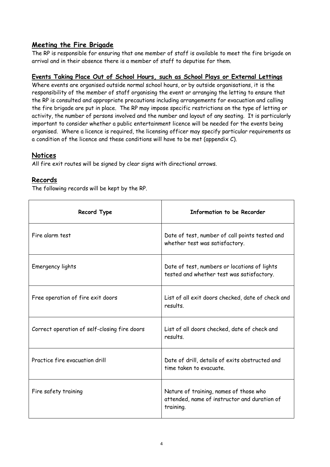#### **Meeting the Fire Brigade**

The RP is responsible for ensuring that one member of staff is available to meet the fire brigade on arrival and in their absence there is a member of staff to deputise for them.

#### **Events Taking Place Out of School Hours, such as School Plays or External Lettings**

Where events are organised outside normal school hours, or by outside organisations, it is the responsibility of the member of staff organising the event or arranging the letting to ensure that the RP is consulted and appropriate precautions including arrangements for evacuation and calling the fire brigade are put in place. The RP may impose specific restrictions on the type of letting or activity, the number of persons involved and the number and layout of any seating. It is particularly important to consider whether a public entertainment licence will be needed for the events being organised. Where a licence is required, the licensing officer may specify particular requirements as a condition of the licence and these conditions will have to be met (appendix  $C$ ).

#### **Notices**

All fire exit routes will be signed by clear signs with directional arrows.

#### **Records**

The following records will be kept by the RP.

| Record Type                                  | Information to be Recorder                                                                          |  |
|----------------------------------------------|-----------------------------------------------------------------------------------------------------|--|
| Fire alarm test                              | Date of test, number of call points tested and<br>whether test was satisfactory.                    |  |
| Emergency lights                             | Date of test, numbers or locations of lights<br>tested and whether test was satisfactory.           |  |
| Free operation of fire exit doors            | List of all exit doors checked, date of check and<br>results.                                       |  |
| Correct operation of self-closing fire doors | List of all doors checked, date of check and<br>results.                                            |  |
| Practice fire evacuation drill               | Date of drill, details of exits obstructed and<br>time taken to evacuate.                           |  |
| Fire safety training                         | Nature of training, names of those who<br>attended, name of instructor and duration of<br>training. |  |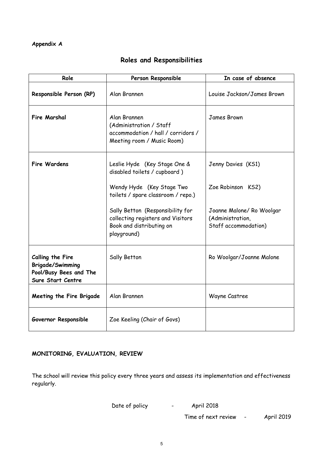#### **Appendix A**

#### **Roles and Responsibilities**

| Role                                                                                       | Person Responsible                                                                                               | In case of absence                                                    |
|--------------------------------------------------------------------------------------------|------------------------------------------------------------------------------------------------------------------|-----------------------------------------------------------------------|
| Responsible Person (RP)                                                                    | Alan Brannen                                                                                                     | Louise Jackson/James Brown                                            |
| <b>Fire Marshal</b>                                                                        | Alan Brannen<br>(Administration / Staff<br>accommodation / hall / corridors /<br>Meeting room / Music Room)      | James Brown                                                           |
| <b>Fire Wardens</b>                                                                        | Leslie Hyde (Key Stage One &<br>disabled toilets / cupboard )                                                    | Jenny Davies (KS1)                                                    |
|                                                                                            | Wendy Hyde (Key Stage Two<br>toilets / spare classroom / repo.)                                                  | Zoe Robinson KS2)                                                     |
|                                                                                            | Sally Betton (Responsibility for<br>collecting registers and Visitors<br>Book and distributing on<br>playground) | Joanne Malone/ Ro Woolgar<br>(Administration,<br>Staff accommodation) |
| Calling the Fire<br><b>Brigade/Swimming</b><br>Pool/Busy Bees and The<br>Sure Start Centre | Sally Betton                                                                                                     | Ro Woolgar/Joanne Malone                                              |
| Meeting the Fire Brigade                                                                   | Alan Brannen                                                                                                     | Wayne Castree                                                         |
| Governor Responsible                                                                       | Zoe Keeling (Chair of Govs)                                                                                      |                                                                       |

#### **MONITORING, EVALUATION, REVIEW**

The school will review this policy every three years and assess its implementation and effectiveness regularly.

Date of policy **-** April 2018

Time of next review - April 2019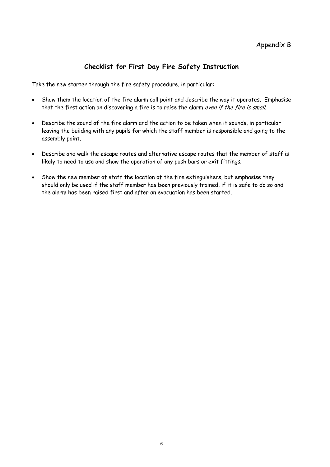#### **Checklist for First Day Fire Safety Instruction**

Take the new starter through the fire safety procedure, in particular:

- Show them the location of the fire alarm call point and describe the way it operates. Emphasise that the first action on discovering a fire is to raise the alarm even if the fire is small.
- Describe the sound of the fire alarm and the action to be taken when it sounds, in particular leaving the building with any pupils for which the staff member is responsible and going to the assembly point.
- Describe and walk the escape routes and alternative escape routes that the member of staff is likely to need to use and show the operation of any push bars or exit fittings.
- Show the new member of staff the location of the fire extinguishers, but emphasise they should only be used if the staff member has been previously trained, if it is safe to do so and the alarm has been raised first and after an evacuation has been started.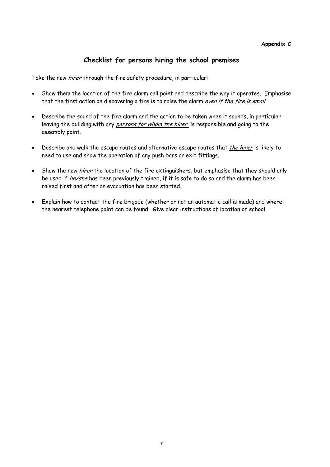#### **Checklist for persons hiring the school premises**

Take the new *hirer* through the fire safety procedure, in particular:

- Show them the location of the fire alarm call point and describe the way it operates. Emphasise that the first action on discovering a fire is to raise the alarm even if the fire is small.
- Describe the sound of the fire alarm and the action to be taken when it sounds, in particular leaving the building with any *persons for whom the hirer* is responsible and going to the assembly point.
- Describe and walk the escape routes and alternative escape routes that *the hirer* is likely to need to use and show the operation of any push bars or exit fittings.
- Show the new *hirer* the location of the fire extinguishers, but emphasise that they should only be used if he/she has been previously trained, if it is safe to do so and the alarm has been raised first and after an evacuation has been started.
- Explain how to contact the fire brigade (whether or not an automatic call is made) and where the nearest telephone point can be found. Give clear instructions of location of school.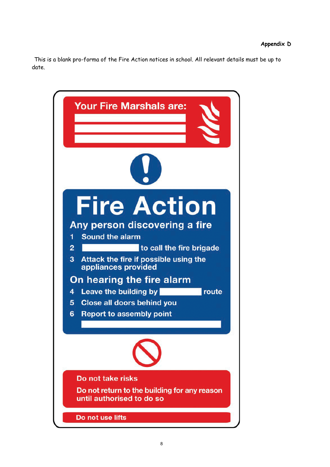This is a blank pro-forma of the Fire Action notices in school. All relevant details must be up to date.